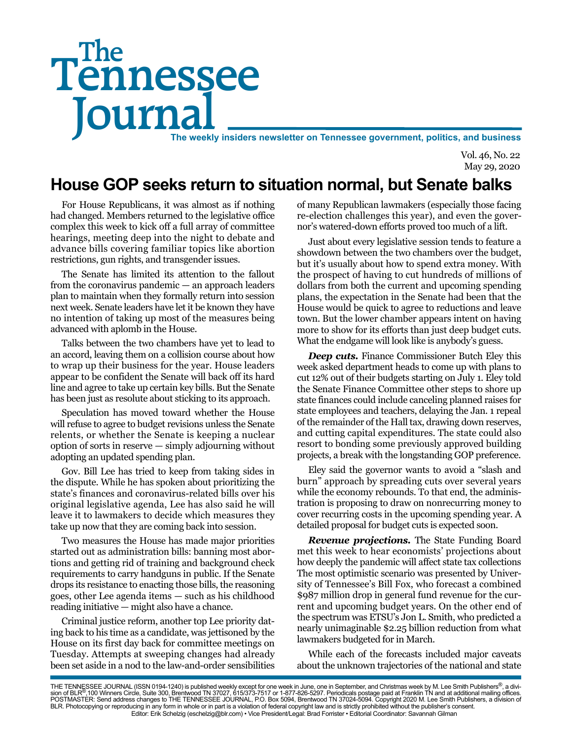# Tennessee **Journal** The weekly insiders newsletter on Tennessee government, politics, and business The

Vol. 46, No. 22 May 29, 2020

## **House GOP seeks return to situation normal, but Senate balks**

For House Republicans, it was almost as if nothing had changed. Members returned to the legislative office complex this week to kick off a full array of committee hearings, meeting deep into the night to debate and advance bills covering familiar topics like abortion restrictions, gun rights, and transgender issues.

The Senate has limited its attention to the fallout from the coronavirus pandemic — an approach leaders plan to maintain when they formally return into session next week. Senate leaders have let it be known they have no intention of taking up most of the measures being advanced with aplomb in the House.

Talks between the two chambers have yet to lead to an accord, leaving them on a collision course about how to wrap up their business for the year. House leaders appear to be confident the Senate will back off its hard line and agree to take up certain key bills. But the Senate has been just as resolute about sticking to its approach.

Speculation has moved toward whether the House will refuse to agree to budget revisions unless the Senate relents, or whether the Senate is keeping a nuclear option of sorts in reserve — simply adjourning without adopting an updated spending plan.

Gov. Bill Lee has tried to keep from taking sides in the dispute. While he has spoken about prioritizing the state's finances and coronavirus-related bills over his original legislative agenda, Lee has also said he will leave it to lawmakers to decide which measures they take up now that they are coming back into session.

Two measures the House has made major priorities started out as administration bills: banning most abortions and getting rid of training and background check requirements to carry handguns in public. If the Senate drops its resistance to enacting those bills, the reasoning goes, other Lee agenda items — such as his childhood reading initiative — might also have a chance.

Criminal justice reform, another top Lee priority dating back to his time as a candidate, was jettisoned by the House on its first day back for committee meetings on Tuesday. Attempts at sweeping changes had already been set aside in a nod to the law-and-order sensibilities

of many Republican lawmakers (especially those facing re-election challenges this year), and even the governor's watered-down efforts proved too much of a lift.

Just about every legislative session tends to feature a showdown between the two chambers over the budget, but it's usually about how to spend extra money. With the prospect of having to cut hundreds of millions of dollars from both the current and upcoming spending plans, the expectation in the Senate had been that the House would be quick to agree to reductions and leave town. But the lower chamber appears intent on having more to show for its efforts than just deep budget cuts. What the endgame will look like is anybody's guess.

*Deep cuts.* Finance Commissioner Butch Eley this week asked department heads to come up with plans to cut 12% out of their budgets starting on July 1. Eley told the Senate Finance Committee other steps to shore up state finances could include canceling planned raises for state employees and teachers, delaying the Jan. 1 repeal of the remainder of the Hall tax, drawing down reserves, and cutting capital expenditures. The state could also resort to bonding some previously approved building projects, a break with the longstanding GOP preference.

Eley said the governor wants to avoid a "slash and burn" approach by spreading cuts over several years while the economy rebounds. To that end, the administration is proposing to draw on nonrecurring money to cover recurring costs in the upcoming spending year. A detailed proposal for budget cuts is expected soon.

*Revenue projections.* The State Funding Board met this week to hear economists' projections about how deeply the pandemic will affect state tax collections The most optimistic scenario was presented by University of Tennessee's Bill Fox, who forecast a combined \$987 million drop in general fund revenue for the current and upcoming budget years. On the other end of the spectrum was ETSU's Jon L. Smith, who predicted a nearly unimaginable \$2.25 billion reduction from what lawmakers budgeted for in March.

While each of the forecasts included major caveats about the unknown trajectories of the national and state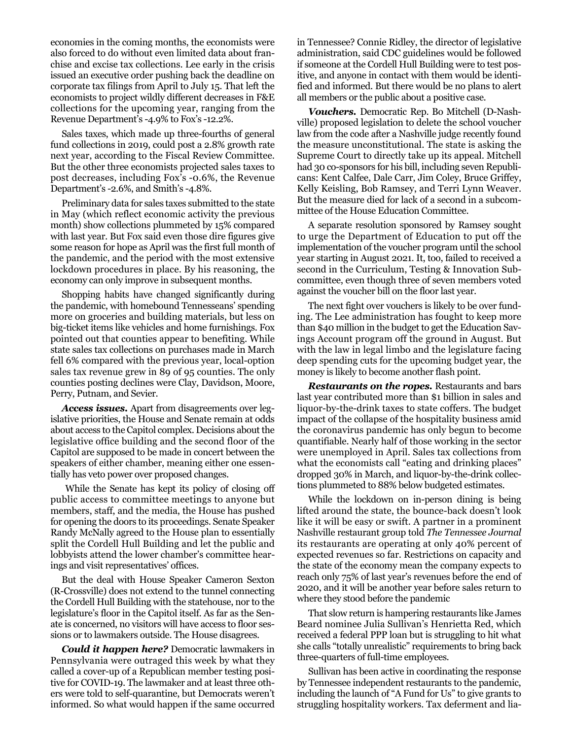economies in the coming months, the economists were also forced to do without even limited data about franchise and excise tax collections. Lee early in the crisis issued an executive order pushing back the deadline on corporate tax filings from April to July 15. That left the economists to project wildly different decreases in F&E collections for the upcoming year, ranging from the Revenue Department's -4.9% to Fox's -12.2%.

Sales taxes, which made up three-fourths of general fund collections in 2019, could post a 2.8% growth rate next year, according to the Fiscal Review Committee. But the other three economists projected sales taxes to post decreases, including Fox's -0.6%, the Revenue Department's -2.6%, and Smith's -4.8%.

Preliminary data for sales taxes submitted to the state in May (which reflect economic activity the previous month) show collections plummeted by 15% compared with last year. But Fox said even those dire figures give some reason for hope as April was the first full month of the pandemic, and the period with the most extensive lockdown procedures in place. By his reasoning, the economy can only improve in subsequent months.

Shopping habits have changed significantly during the pandemic, with homebound Tennesseans' spending more on groceries and building materials, but less on big-ticket items like vehicles and home furnishings. Fox pointed out that counties appear to benefiting. While state sales tax collections on purchases made in March fell 6% compared with the previous year, local-option sales tax revenue grew in 89 of 95 counties. The only counties posting declines were Clay, Davidson, Moore, Perry, Putnam, and Sevier.

*Access issues.* Apart from disagreements over legislative priorities, the House and Senate remain at odds about access to the Capitol complex. Decisions about the legislative office building and the second floor of the Capitol are supposed to be made in concert between the speakers of either chamber, meaning either one essentially has veto power over proposed changes.

 While the Senate has kept its policy of closing off public access to committee meetings to anyone but members, staff, and the media, the House has pushed for opening the doors to its proceedings. Senate Speaker Randy McNally agreed to the House plan to essentially split the Cordell Hull Building and let the public and lobbyists attend the lower chamber's committee hearings and visit representatives' offices.

But the deal with House Speaker Cameron Sexton (R-Crossville) does not extend to the tunnel connecting the Cordell Hull Building with the statehouse, nor to the legislature's floor in the Capitol itself. As far as the Senate is concerned, no visitors will have access to floor sessions or to lawmakers outside. The House disagrees.

*Could it happen here?* Democratic lawmakers in Pennsylvania were outraged this week by what they called a cover-up of a Republican member testing positive for COVID-19. The lawmaker and at least three others were told to self-quarantine, but Democrats weren't informed. So what would happen if the same occurred

in Tennessee? Connie Ridley, the director of legislative administration, said CDC guidelines would be followed if someone at the Cordell Hull Building were to test positive, and anyone in contact with them would be identified and informed. But there would be no plans to alert all members or the public about a positive case.

*Vouchers.* Democratic Rep. Bo Mitchell (D-Nashville) proposed legislation to delete the school voucher law from the code after a Nashville judge recently found the measure unconstitutional. The state is asking the Supreme Court to directly take up its appeal. Mitchell had 30 co-sponsors for his bill, including seven Republicans: Kent Calfee, Dale Carr, Jim Coley, Bruce Griffey, Kelly Keisling, Bob Ramsey, and Terri Lynn Weaver. But the measure died for lack of a second in a subcommittee of the House Education Committee.

A separate resolution sponsored by Ramsey sought to urge the Department of Education to put off the implementation of the voucher program until the school year starting in August 2021. It, too, failed to received a second in the Curriculum, Testing & Innovation Subcommittee, even though three of seven members voted against the voucher bill on the floor last year.

The next fight over vouchers is likely to be over funding. The Lee administration has fought to keep more than \$40 million in the budget to get the Education Savings Account program off the ground in August. But with the law in legal limbo and the legislature facing deep spending cuts for the upcoming budget year, the money is likely to become another flash point.

*Restaurants on the ropes.* Restaurants and bars last year contributed more than \$1 billion in sales and liquor-by-the-drink taxes to state coffers. The budget impact of the collapse of the hospitality business amid the coronavirus pandemic has only begun to become quantifiable. Nearly half of those working in the sector were unemployed in April. Sales tax collections from what the economists call "eating and drinking places" dropped 30% in March, and liquor-by-the-drink collections plummeted to 88% below budgeted estimates.

While the lockdown on in-person dining is being lifted around the state, the bounce-back doesn't look like it will be easy or swift. A partner in a prominent Nashville restaurant group told *The Tennessee Journal* its restaurants are operating at only 40% percent of expected revenues so far. Restrictions on capacity and the state of the economy mean the company expects to reach only 75% of last year's revenues before the end of 2020, and it will be another year before sales return to where they stood before the pandemic

That slow return is hampering restaurants like James Beard nominee Julia Sullivan's Henrietta Red, which received a federal PPP loan but is struggling to hit what she calls "totally unrealistic" requirements to bring back three-quarters of full-time employees.

Sullivan has been active in coordinating the response by Tennessee independent restaurants to the pandemic, including the launch of "A Fund for Us" to give grants to struggling hospitality workers. Tax deferment and lia-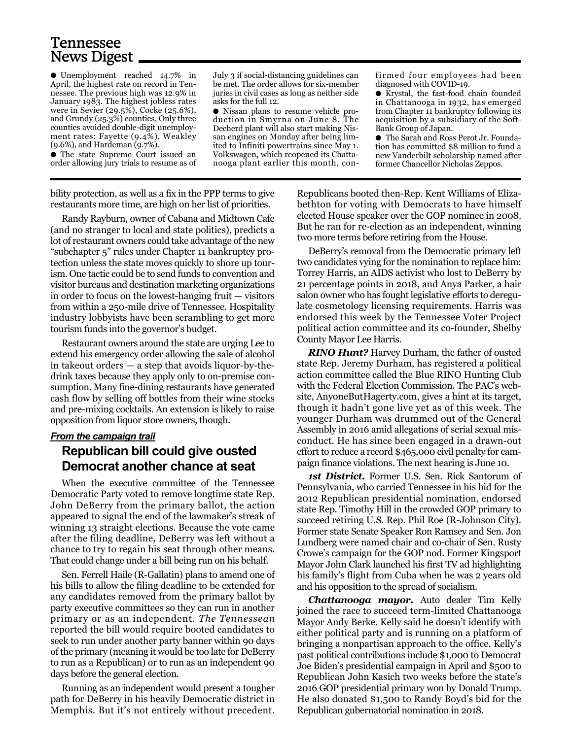### Tennessee News Digest

● Unemployment reached 14.7% in April, the highest rate on record in Tennessee. The previous high was 12.9% in January 1983. The highest jobless rates were in Sevier (29.5%), Cocke (25.6%), and Grundy (25.3%) counties. Only three counties avoided double-digit unemployment rates: Fayette (9.4%), Weakley (9.6%), and Hardeman (9.7%).

● The state Supreme Court issued an order allowing jury trials to resume as of

July 3 if social-distancing guidelines can be met. The order allows for six-member juries in civil cases as long as neither side asks for the full 12.

● Nissan plans to resume vehicle production in Smyrna on June 8. The Decherd plant will also start making Nissan engines on Monday after being limited to Infiniti powertrains since May 1. Volkswagen, which reopened its Chattanooga plant earlier this month, confirmed four employees had been diagnosed with COVID-19.

● Krystal, the fast-food chain founded in Chattanooga in 1932, has emerged from Chapter 11 bankruptcy following its acquisition by a subsidiary of the Soft-Bank Group of Japan.

● The Sarah and Ross Perot Jr. Foundation has committed \$8 million to fund a new Vanderbilt scholarship named after former Chancellor Nicholas Zeppos.

bility protection, as well as a fix in the PPP terms to give restaurants more time, are high on her list of priorities.

Randy Rayburn, owner of Cabana and Midtown Cafe (and no stranger to local and state politics), predicts a lot of restaurant owners could take advantage of the new "subchapter 5" rules under Chapter 11 bankruptcy protection unless the state moves quickly to shore up tourism. One tactic could be to send funds to convention and visitor bureaus and destination marketing organizations in order to focus on the lowest-hanging fruit — visitors from within a 250-mile drive of Tennessee. Hospitality industry lobbyists have been scrambling to get more tourism funds into the governor's budget.

Restaurant owners around the state are urging Lee to extend his emergency order allowing the sale of alcohol in takeout orders — a step that avoids liquor-by-thedrink taxes because they apply only to on-premise consumption. Many fine-dining restaurants have generated cash flow by selling off bottles from their wine stocks and pre-mixing cocktails. An extension is likely to raise opposition from liquor store owners, though.

#### *From the campaign trail* **Republican bill could give ousted Democrat another chance at seat**

When the executive committee of the Tennessee Democratic Party voted to remove longtime state Rep. John DeBerry from the primary ballot, the action appeared to signal the end of the lawmaker's streak of winning 13 straight elections. Because the vote came after the filing deadline, DeBerry was left without a chance to try to regain his seat through other means. That could change under a bill being run on his behalf.

Sen. Ferrell Haile (R-Gallatin) plans to amend one of his bills to allow the filing deadline to be extended for any candidates removed from the primary ballot by party executive committees so they can run in another primary or as an independent. *The Tennessean* reported the bill would require booted candidates to seek to run under another party banner within 90 days of the primary (meaning it would be too late for DeBerry to run as a Republican) or to run as an independent 90 days before the general election.

Running as an independent would present a tougher path for DeBerry in his heavily Democratic district in Memphis. But it's not entirely without precedent.

Republicans booted then-Rep. Kent Williams of Elizabethton for voting with Democrats to have himself elected House speaker over the GOP nominee in 2008. But he ran for re-election as an independent, winning two more terms before retiring from the House.

DeBerry's removal from the Democratic primary left two candidates vying for the nomination to replace him: Torrey Harris, an AIDS activist who lost to DeBerry by 21 percentage points in 2018, and Anya Parker, a hair salon owner who has fought legislative efforts to deregulate cosmetology licensing requirements. Harris was endorsed this week by the Tennessee Voter Project political action committee and its co-founder, Shelby County Mayor Lee Harris.

*RINO Hunt?* Harvey Durham, the father of ousted state Rep. Jeremy Durham, has registered a political action committee called the Blue RINO Hunting Club with the Federal Election Commission. The PAC's website, AnyoneButHagerty.com, gives a hint at its target, though it hadn't gone live yet as of this week. The younger Durham was drummed out of the General Assembly in 2016 amid allegations of serial sexual misconduct. He has since been engaged in a drawn-out effort to reduce a record \$465,000 civil penalty for campaign finance violations. The next hearing is June 10.

*1st District.* Former U.S. Sen. Rick Santorum of Pennsylvania, who carried Tennessee in his bid for the 2012 Republican presidential nomination, endorsed state Rep. Timothy Hill in the crowded GOP primary to succeed retiring U.S. Rep. Phil Roe (R-Johnson City). Former state Senate Speaker Ron Ramsey and Sen. Jon Lundberg were named chair and co-chair of Sen. Rusty Crowe's campaign for the GOP nod. Former Kingsport Mayor John Clark launched his first TV ad highlighting his family's flight from Cuba when he was 2 years old and his opposition to the spread of socialism.

*Chattanooga mayor.* Auto dealer Tim Kelly joined the race to succeed term-limited Chattanooga Mayor Andy Berke. Kelly said he doesn't identify with either political party and is running on a platform of bringing a nonpartisan approach to the office. Kelly's past political contributions include \$1,000 to Democrat Joe Biden's presidential campaign in April and \$500 to Republican John Kasich two weeks before the state's 2016 GOP presidential primary won by Donald Trump. He also donated \$1,500 to Randy Boyd's bid for the Republican gubernatorial nomination in 2018.